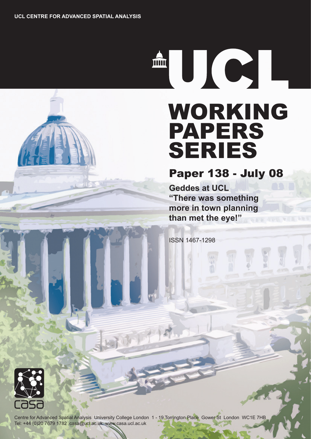THE THE THE TELEVISION OF THE TELEVISION OF THE TELEVISION SERVER.

# WORKING PAPERS SERIES

Paper 138 - July 08

**Geddes at UCL "There was something more in town planning than met the eye!"** 

ISSN 1467-1298



Centre for Advanced Spatial Analysis University College London 1 - 19 Torrington Place Gower St London WC1E 7HB Tel: +44 (0)20 7679 1782 casa@ucl.ac.uk www.casa.ucl.ac.uk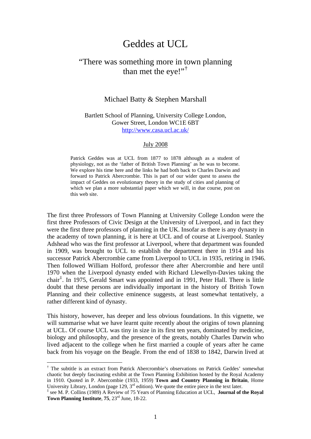## Geddes at UCL

### "There was something more in town planning than met the eye!"[†](#page-1-0)

#### Michael Batty & Stephen Marshall

Bartlett School of Planning, University College London, Gower Street, London WC1E 6BT <http://www.casa.ucl.ac.uk/>

#### July 2008

Patrick Geddes was at UCL from 1877 to 1878 although as a student of physiology, not as the 'father of British Town Planning' as he was to become. We explore his time here and the links he had both back to Charles Darwin and forward to Patrick Abercrombie. This is part of our wider quest to assess the impact of Geddes on evolutionary theory in the study of cities and planning of which we plan a more substantial paper which we will, in due course, post on this web site.

The first three Professors of Town Planning at University College London were the first three Professors of Civic Design at the University of Liverpool, and in fact they were the first three professors of planning in the UK. Insofar as there is any dynasty in the academy of town planning, it is here at UCL and of course at Liverpool. Stanley Adshead who was the first professor at Liverpool, where that department was founded in 1909, was brought to UCL to establish the department there in 1914 and his successor Patrick Abercrombie came from Liverpool to UCL in 1935, retiring in 1946. Then followed William Holford, professor there after Abercrombie and here until 1970 when the Liverpool dynasty ended with Richard Llewellyn-Davies taking the chair[‡](#page-1-1) . In 1975, Gerald Smart was appointed and in 1991, Peter Hall. There is little doubt that these persons are individually important in the history of British Town Planning and their collective eminence suggests, at least somewhat tentatively, a rather different kind of dynasty.

This history, however, has deeper and less obvious foundations. In this vignette, we will summarise what we have learnt quite recently about the origins of town planning at UCL. Of course UCL was tiny in size in its first ten years, dominated by medicine, biology and philosophy, and the presence of the greats, notably Charles Darwin who lived adjacent to the college when he first married a couple of years after he came back from his voyage on the Beagle. From the end of 1838 to 1842, Darwin lived at

<span id="page-1-0"></span><sup>†</sup> The subtitle is an extract from Patrick Abercrombie's observations on Patrick Geddes' somewhat chaotic but deeply fascinating exhibit at the Town Planning Exhibition hosted by the Royal Academy in 1910. Quoted in P. Abercombie (1933, 1959) **Town and Country Planning in Britain**, Home University Library, London (page 129,  $3<sup>rd</sup>$  edition). We quote the entire piece in the text later.

<span id="page-1-1"></span><sup>‡</sup> see M. P. Collins (1989) A Review of 75 Years of Planning Education at UCL, **Journal of the Royal Town Planning Institute**, **75**, 23rd June, 18-22.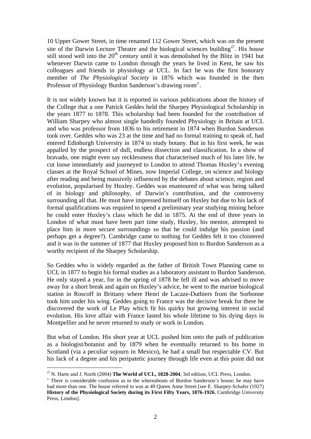10 Upper Gower Street, in time renamed 112 Gower Street, which was on the present site of the Darwin Lecture Theatre and the biological sciences building<sup> $\varnothing$ </sup>. His house still stood well into the 20<sup>th</sup> century until it was demolished by the Blitz in 1941 but whenever Darwin came to London through the years he lived in Kent, he saw his colleagues and friends in physiology at UCL. In fact he was the first honorary member of *The Physiological Society* in 1876 which was founded in the then Professor of Physiology Burdon Sanderson's drawing room<sup>+</sup>.

It is not widely known but it is reported in various publications about the history of the College that a one Patrick Geddes held the Sharpey Physiological Scholarship in the years 1877 to 1878. This scholarship had been founded for the contribution of William Sharpey who almost single handedly founded Physiology in Britain at UCL and who was professor from 1836 to his retirement in 1874 when Burdon Sanderson took over. Geddes who was 23 at the time and had no formal training to speak of, had entered Edinburgh University in 1874 to study botany. But in his first week, he was appalled by the prospect of dull, endless dissection and classification. In a show of bravado, one might even say recklessness that characterised much of his later life, he cut loose immediately and journeyed to London to attend Thomas Huxley's evening classes at the Royal School of Mines, now Imperial College, on science and biology after reading and being massively influenced by the debates about science, region and evolution, popularised by Huxley. Geddes was enamoured of what was being talked of in biology and philosophy, of Darwin's contribution, and the controversy surrounding all that. He must have impressed himself on Huxley but due to his lack of formal qualifications was required to spend a preliminary year studying mining before he could enter Huxley's class which he did in 1875. At the end of three years in London of what must have been part time study, Huxley, his mentor, attempted to place him in more secure surroundings so that he could indulge his passion (and perhaps get a degree?). Cambridge came to nothing for Geddes felt it too cloistered and it was in the summer of 1877 that Huxley proposed him to Burdon Sanderson as a worthy recipient of the Sharpey Scholarship.

So Geddes who is widely regarded as the father of British Town Planning came to UCL in 1877 to begin his formal studies as a laboratory assistant to Burdon Sanderson. He only stayed a year, for in the spring of 1878 he fell ill and was advised to move away for a short break and again on Huxley's advice, he went to the marine biological station in Roscoff in Brittany where Henri de Lacaze-Duthiers from the Sorbonne took him under his wing. Geddes going to France was the decisive break for there he discovered the work of Le Play which fit his quirky but growing interest in social evolution. His love affair with France lasted his whole lifetime to his dying days in Montpellier and he never returned to study or work in London.

But what of London. His short year at UCL pushed him onto the path of publication as a biologist/botanist and by 1879 when he eventually returned to his home in Scotland (via a peculiar sojourn in Mexico), he had a small but respectable CV. But his lack of a degree and his peripatetic journey through life even at this point did not

<u>.</u>

<span id="page-2-0"></span> $\%$  N. Harte and J. North (2004) **The World of UCL, 1828-2004**, 3rd edition, UCL Press, London.

<span id="page-2-1"></span> $\pm$  There is considerable confusion as to the whereabouts of Burdon Sanderson's house; he may have had more than one. The house referred to was at 49 Queen Anne Street [see E. Sharpey-Schafer (1927) **History of the Physiological Society during its First Fifty Years, 1876-1926**, Cambridge University Press, London].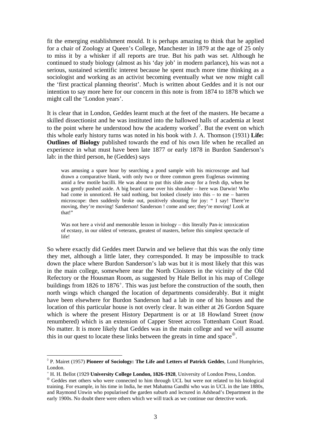fit the emerging establishment mould. It is perhaps amazing to think that he applied for a chair of Zoology at Queen's College, Manchester in 1879 at the age of 25 only to miss it by a whisker if all reports are true. But his path was set. Although he continued to study biology (almost as his 'day job' in modern parlance), his was not a serious, sustained scientific interest because he spent much more time thinking as a sociologist and working as an activist becoming eventually what we now might call the 'first practical planning theorist'. Much is written about Geddes and it is not our intention to say more here for our concern in this note is from 1874 to 1878 which we might call the 'London years'.

It is clear that in London, Geddes learnt much at the feet of the masters. He became a skilled dissectionist and he was instituted into the hallowed halls of academia at least to the point where he understood how the academy worked $\delta$ . But the event on which this whole early history turns was noted in his book with J. A. Thomson (1931) **Life: Outlines of Biology** published towards the end of his own life when he recalled an experience in what must have been late 1877 or early 1878 in Burdon Sanderson's lab: in the third person, he (Geddes) says

was amusing a spare hour by searching a pond sample with his microscope and had drawn a comparative blank, with only two or three common green Euglenas swimming amid a few motile bacilli. He was about to put this slide away for a fresh dip, when he was gently pushed aside. A big beard came over his shoulder – here was Darwin! Who had come in unnoticed. He said nothing, but looked closely into this – to me – barren microscope: then suddenly broke out, positively shouting for joy: " I say! There're moving, they're moving! Sanderson! Sanderson ! come and see; they're moving! Look at that!"

Was not here a vivid and memorable lesson in biology – this literally Pan-ic intoxication of ecstasy, in our oldest of veterans, greatest of masters, before this simplest spectacle of life!

So where exactly did Geddes meet Darwin and we believe that this was the only time they met, although a little later, they corresponded. It may be impossible to track down the place where Burdon Sanderson's lab was but it is most likely that this was in the main college, somewhere near the North Cloisters in the vicinity of the Old Refectory or the Housman Room, as suggested by Hale Bellot in his map of College buildings from  $1826$  to  $1876^+$  $1876^+$ . This was just before the construction of the south, then north wings which changed the location of departments considerably. But it might have been elsewhere for Burdon Sanderson had a lab in one of his houses and the location of this particular house is not overly clear. It was either at 26 Gordon Square which is where the present History Department is or at 18 Howland Street (now renumbered) which is an extension of Capper Street across Tottenham Court Road. No matter. It is more likely that Geddes was in the main college and we will assume this in our quest to locate these links between the greats in time and space $\mathcal{L}$ .

<span id="page-3-0"></span><sup>◊</sup> P. Mairet (1957) **Pioneer of Sociology: The Life and Letters of Patrick Geddes**, Lund Humphries, London.

<span id="page-3-1"></span><sup>+</sup> H. H. Bellot (1929 **University College London, 1826-1928**, University of London Press, London.

<span id="page-3-2"></span><sup>⊕</sup> Geddes met others who were connected to him through UCL but were not related to his biological training. For example, in his time in India, he met Mahatma Gandhi who was in UCL in the late 1880s, and Raymond Unwin who popularised the garden suburb and lectured in Adshead's Department in the early 1900s. No doubt there were others which we will track as we continue our detective work.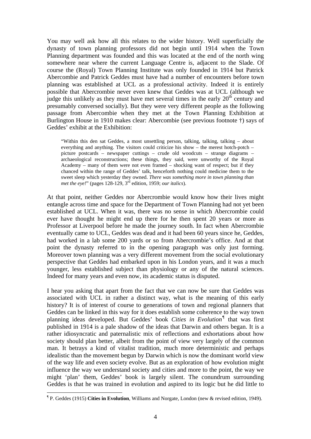You may well ask how all this relates to the wider history. Well superficially the dynasty of town planning professors did not begin until 1914 when the Town Planning department was founded and this was located at the end of the north wing somewhere near where the current Language Centre is, adjacent to the Slade. Of course the (Royal) Town Planning Institute was only founded in 1914 but Patrick Abercombie and Patrick Geddes must have had a number of encounters before town planning was established at UCL as a professional activity. Indeed it is entirely possible that Abercrombie never even knew that Geddes was at UCL (although we judge this unlikely as they must have met several times in the early  $20<sup>th</sup>$  century and presumably conversed socially). But they were very different people as the following passage from Abercombie when they met at the Town Planning Exhibition at Burlington House in 1910 makes clear: Abercombie (see previous footnote †) says of Geddes' exhibit at the Exhibition:

"Within this den sat Geddes, a most unsettling person, talking, talking, talking – about everything and anything. The visitors could criticize his show – the merest hotch-potch – picture postcards – newspaper cuttings – crude old woodcuts – strange diagrams – archaeological reconstructions; these things, they said, were unworthy of the Royal Academy – many of them were not even framed – shocking want of respect; but if they chanced within the range of Geddes' talk, henceforth nothing could medicine them to the sweet sleep which yesterday they owned. *There was something more in town planning than met the eye!*" (pages 128-129, 3rd edition, 1959; *our italics*).

At that point, neither Geddes nor Abercrombie would know how their lives might entangle across time and space for the Department of Town Planning had not yet been established at UCL. When it was, there was no sense in which Abercrombie could ever have thought he might end up there for he then spent 20 years or more as Professor at Liverpool before he made the journey south. In fact when Abercrombie eventually came to UCL, Geddes was dead and it had been 60 years since he, Geddes, had worked in a lab some 200 yards or so from Abercrombie's office. And at that point the dynasty referred to in the opening paragraph was only just forming. Moreover town planning was a very different movement from the social evolutionary perspective that Geddes had embarked upon in his London years, and it was a much younger, less established subject than physiology or any of the natural sciences. Indeed for many years and even now, its academic status is disputed.

I hear you asking that apart from the fact that we can now be sure that Geddes was associated with UCL in rather a distinct way, what is the meaning of this early history? It is of interest of course to generations of town and regional planners that Geddes can be linked in this way for it does establish some coherence to the way town planning ideas developed. But Geddes' book *Cities in Evolution[¶](#page-4-0)* that was first published in 1914 is a pale shadow of the ideas that Darwin and others began. It is a rather idiosyncratic and paternalistic mix of reflections and exhortations about how society should plan better, albeit from the point of view very largely of the common man. It betrays a kind of vitalist tradition, much more deterministic and perhaps idealistic than the movement begun by Darwin which is now the dominant world view of the way life and even society evolve. But as an exploration of how evolution might influence the way we understand society and cities and more to the point, the way we might 'plan' them, Geddes' book is largely silent. The conundrum surrounding Geddes is that he was trained in evolution and aspired to its logic but he did little to

<span id="page-4-0"></span><sup>¶</sup> P. Geddes (1915) **Cities in Evolution**, Williams and Norgate, London (new & revised edition, 1949).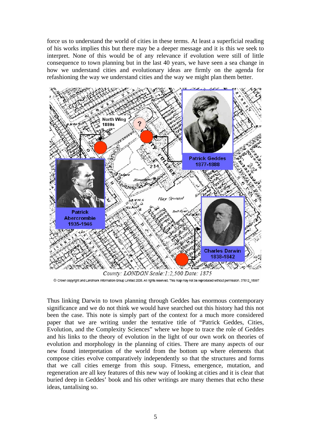force us to understand the world of cities in these terms. At least a superficial reading of his works implies this but there may be a deeper message and it is this we seek to interpret. None of this would be of any relevance if evolution were still of little consequence to town planning but in the last 40 years, we have seen a sea change in how we understand cities and evolutionary ideas are firmly on the agenda for refashioning the way we understand cities and the way we might plan them better.



C Crown copyright and Landmark Information Group Limited 2006. All rights reserved. This map may not be reproduced without permission. 37012\_18997

Thus linking Darwin to town planning through Geddes has enormous contemporary significance and we do not think we would have searched out this history had this not been the case. This note is simply part of the context for a much more considered paper that we are writing under the tentative title of "Patrick Geddes, Cities, Evolution, and the Complexity Sciences" where we hope to trace the role of Geddes and his links to the theory of evolution in the light of our own work on theories of evolution and morphology in the planning of cities. There are many aspects of our new found interpretation of the world from the bottom up where elements that compose cities evolve comparatively independently so that the structures and forms that we call cities emerge from this soup. Fitness, emergence, mutation, and regeneration are all key features of this new way of looking at cities and it is clear that buried deep in Geddes' book and his other writings are many themes that echo these ideas, tantalising so.